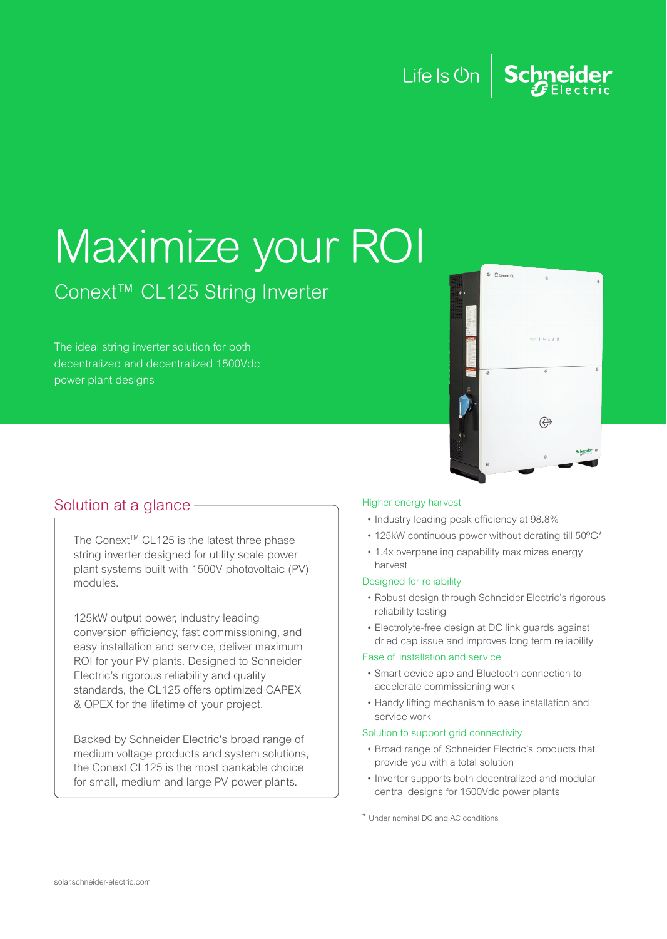# Life Is On  $\Big|\operatorname{\mathsf{Scp}_\text{Electric}}$

# Maximize your ROI

# Conext™ CL125 String Inverter

The ideal string inverter solution for both decentralized and decentralized 1500Vdc power plant designs



## Solution at a glance **Higher energy harvest**

The Conext™ CL125 is the latest three phase string inverter designed for utility scale power plant systems built with 1500V photovoltaic (PV) modules.

125kW output power, industry leading conversion efficiency, fast commissioning, and easy installation and service, deliver maximum ROI for your PV plants. Designed to Schneider Electric's rigorous reliability and quality standards, the CL125 offers optimized CAPEX & OPEX for the lifetime of your project.

Backed by Schneider Electric's broad range of medium voltage products and system solutions, the Conext CL125 is the most bankable choice for small, medium and large PV power plants.

- Industry leading peak efficiency at 98.8%
- 125kW continuous power without derating till 50ºC\*
- 1.4x overpaneling capability maximizes energy harvest

### Designed for reliability

- Robust design through Schneider Electric's rigorous reliability testing
- Electrolyte-free design at DC link guards against dried cap issue and improves long term reliability

### Ease of installation and service

- Smart device app and Bluetooth connection to accelerate commissioning work
- Handy lifting mechanism to ease installation and service work

### Solution to support grid connectivity

- Broad range of Schneider Electric's products that provide you with a total solution
- Inverter supports both decentralized and modular central designs for 1500Vdc power plants

\* Under nominal DC and AC conditions